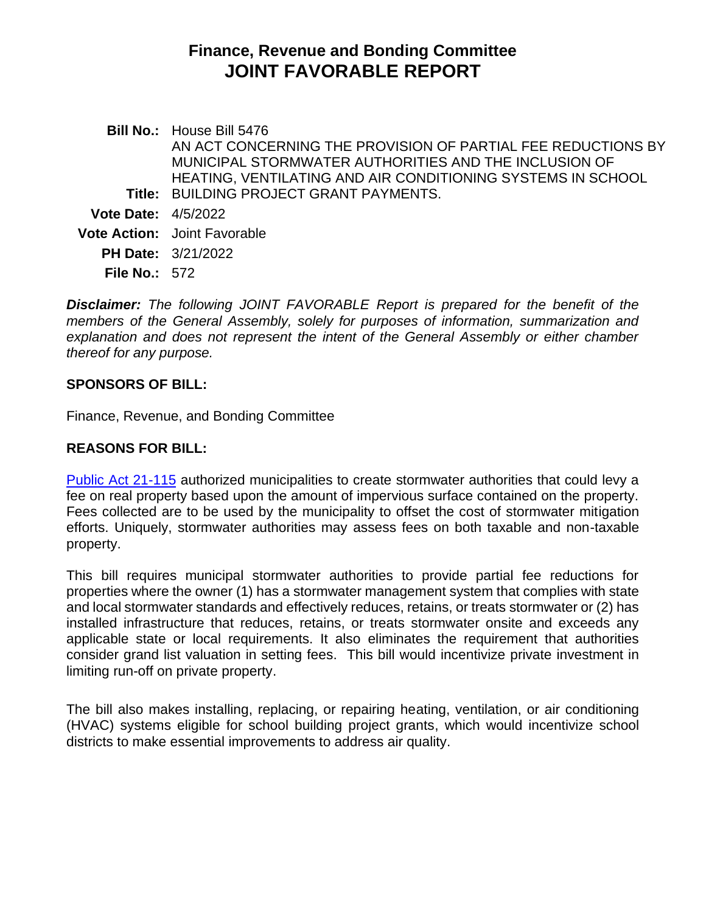# **Finance, Revenue and Bonding Committee JOINT FAVORABLE REPORT**

**Bill No.:** House Bill 5476 **Title:** BUILDING PROJECT GRANT PAYMENTS. AN ACT CONCERNING THE PROVISION OF PARTIAL FEE REDUCTIONS BY MUNICIPAL STORMWATER AUTHORITIES AND THE INCLUSION OF HEATING, VENTILATING AND AIR CONDITIONING SYSTEMS IN SCHOOL **Vote Date:** 4/5/2022 **Vote Action:** Joint Favorable **PH Date:** 3/21/2022 **File No.:** 572

*Disclaimer: The following JOINT FAVORABLE Report is prepared for the benefit of the members of the General Assembly, solely for purposes of information, summarization and explanation and does not represent the intent of the General Assembly or either chamber thereof for any purpose.*

### **SPONSORS OF BILL:**

Finance, Revenue, and Bonding Committee

#### **REASONS FOR BILL:**

[Public Act 21-115](https://cga.ct.gov/asp/cgabillstatus/cgabillstatus.asp?selBillType=Public+Act&which_year=2021&bill_num=115) authorized municipalities to create stormwater authorities that could levy a fee on real property based upon the amount of impervious surface contained on the property. Fees collected are to be used by the municipality to offset the cost of stormwater mitigation efforts. Uniquely, stormwater authorities may assess fees on both taxable and non-taxable property.

This bill requires municipal stormwater authorities to provide partial fee reductions for properties where the owner (1) has a stormwater management system that complies with state and local stormwater standards and effectively reduces, retains, or treats stormwater or (2) has installed infrastructure that reduces, retains, or treats stormwater onsite and exceeds any applicable state or local requirements. It also eliminates the requirement that authorities consider grand list valuation in setting fees. This bill would incentivize private investment in limiting run-off on private property.

The bill also makes installing, replacing, or repairing heating, ventilation, or air conditioning (HVAC) systems eligible for school building project grants, which would incentivize school districts to make essential improvements to address air quality.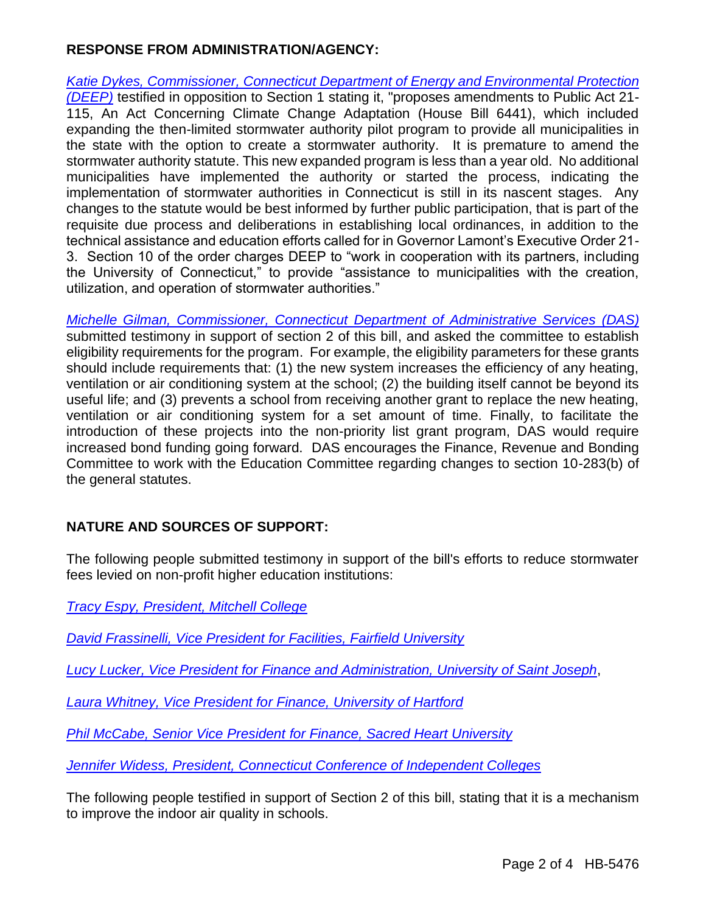# **RESPONSE FROM ADMINISTRATION/AGENCY:**

*[Katie Dykes, Commissioner, Connecticut Department of Energy and Environmental Protection](https://cga.ct.gov/2022/FINdata/Tmy/2022HB-05476-R000321-Dykes,%20Katie,%20Commissioner,%20Connecticut%20Department%20of%20Energy%20and%20Environmental%20Protection%20-%20Oppose-TMY.PDF) [\(DEEP\)](https://cga.ct.gov/2022/FINdata/Tmy/2022HB-05476-R000321-Dykes,%20Katie,%20Commissioner,%20Connecticut%20Department%20of%20Energy%20and%20Environmental%20Protection%20-%20Oppose-TMY.PDF)* testified in opposition to Section 1 stating it, "proposes amendments to Public Act 21- 115, An Act Concerning Climate Change Adaptation (House Bill 6441), which included expanding the then-limited stormwater authority pilot program to provide all municipalities in the state with the option to create a stormwater authority. It is premature to amend the stormwater authority statute. This new expanded program is less than a year old. No additional municipalities have implemented the authority or started the process, indicating the implementation of stormwater authorities in Connecticut is still in its nascent stages. Any changes to the statute would be best informed by further public participation, that is part of the requisite due process and deliberations in establishing local ordinances, in addition to the technical assistance and education efforts called for in Governor Lamont's Executive Order 21- 3. Section 10 of the order charges DEEP to "work in cooperation with its partners, including the University of Connecticut," to provide "assistance to municipalities with the creation, utilization, and operation of stormwater authorities."

*[Michelle Gilman, Commissioner, Connecticut Department of Administrative Services](https://cga.ct.gov/2022/FINdata/Tmy/2022HB-05476-R000321-Gilman,%20Michelle,%20Commissioner,%20Connecticut%20Department%20of%20Administrative%20Services%20-%20Support-TMY.PDF) (DAS)* submitted testimony in support of section 2 of this bill, and asked the committee to establish eligibility requirements for the program. For example, the eligibility parameters for these grants should include requirements that: (1) the new system increases the efficiency of any heating, ventilation or air conditioning system at the school; (2) the building itself cannot be beyond its useful life; and (3) prevents a school from receiving another grant to replace the new heating, ventilation or air conditioning system for a set amount of time. Finally, to facilitate the introduction of these projects into the non-priority list grant program, DAS would require increased bond funding going forward. DAS encourages the Finance, Revenue and Bonding Committee to work with the Education Committee regarding changes to section 10-283(b) of the general statutes.

# **NATURE AND SOURCES OF SUPPORT:**

The following people submitted testimony in support of the bill's efforts to reduce stormwater fees levied on non-profit higher education institutions:

*[Tracy Espy, President, Mitchell College](https://cga.ct.gov/2022/FINdata/Tmy/2022HB-05476-R000321-Espy,%20Tracy,%20President,%20Mitchell%20College%20-%20Support-TMY.PDF)*

*[David Frassinelli, Vice President for Facilities, Fairfield University](https://cga.ct.gov/2022/FINdata/Tmy/2022HB-05476-R000321-Frassinelli,%20David,%20Vice%20President%20for%20Facilities,%20Fairfield%20University%20-%20Support-TMY.PDF)*

*[Lucy Lucker, Vice President for Finance and Administration, University of Saint Joseph](https://cga.ct.gov/2022/FINdata/Tmy/2022HB-05476-R000321-Lucker,%20Lucy,%20Vice%20President%20for%20Finance%20and%20Administration,%20University%20of%20Saint%20Joseph%20-%20Support-TMY.PDF)*,

*[Laura Whitney, Vice President for Finance, University of Hartford](https://cga.ct.gov/2022/FINdata/Tmy/2022HB-05476-R000321-Whitney,%20Laura,%20Vice%20President%20for%20Finance,%20University%20of%20Hartford%20-%20Support-TMY.PDF)*

*[Phil McCabe, Senior Vice President for Finance, Sacred Heart University](https://cga.ct.gov/2022/FINdata/Tmy/2022HB-05476-R000321-McCabe,%20Phil,%20Senior%20Vice%20President%20for%20Finance,%20Sacred%20Heart%20University%20-%20Support-TMY.PDF)*

*[Jennifer Widess, President, Connecticut Conference of Independent Colleges](https://cga.ct.gov/2022/FINdata/Tmy/2022HB-05476-R000321-Widess,%20Jennifer,%20President,%20Connecticut%20Conference%20of%20Independent%20Colleges%20-%20Support-TMY.PDF)*

The following people testified in support of Section 2 of this bill, stating that it is a mechanism to improve the indoor air quality in schools.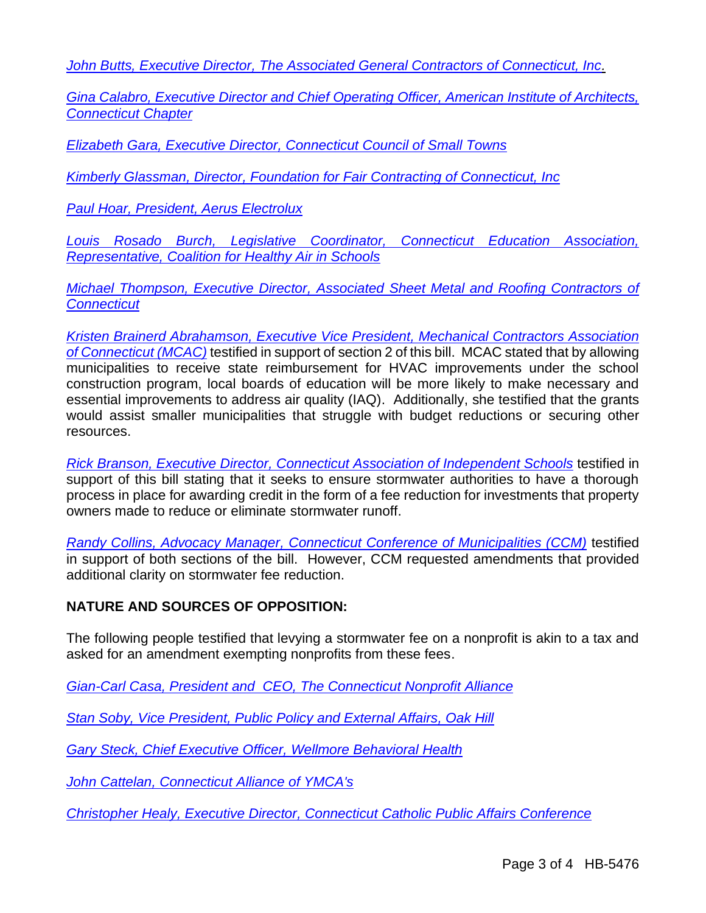*[John Butts, Executive Director, The Associated General Contractors of Connecticut, Inc.](https://cga.ct.gov/2022/FINdata/Tmy/2022HB-05476-R000321-Butts,%20John,%20Executive%20Director,%20The%20Associated%20General%20Contractors%20of%20Connecticut,%20Inc.%20-%20Support-TMY.PDF)*

*[Gina Calabro, Executive Director and Chief Operating Officer, American Institute of Architects,](https://cga.ct.gov/2022/FINdata/Tmy/2022HB-05476-R000321-Calabro,%20Gina,%20Executive%20Director%20and%20Chief%20Operating%20Officer,%20American%20Institute%20of%20Architects,%20Connecticut%20Chapter%20-%20Support-TMY.PDF)  [Connecticut Chapter](https://cga.ct.gov/2022/FINdata/Tmy/2022HB-05476-R000321-Calabro,%20Gina,%20Executive%20Director%20and%20Chief%20Operating%20Officer,%20American%20Institute%20of%20Architects,%20Connecticut%20Chapter%20-%20Support-TMY.PDF)*

*[Elizabeth Gara, Executive Director, Connecticut Council of Small Towns](https://cga.ct.gov/2022/FINdata/Tmy/2022HB-05476-R000321-Gara,%20Elizabeth,%20Executive%20Director,%20Connecticut%20Council%20of%20Small%20Towns%20-%20Support-TMY.PDF)*

*[Kimberly Glassman, Director, Foundation for Fair Contracting of Connecticut, Inc](https://cga.ct.gov/2022/FINdata/Tmy/2022HB-05476-R000321-Glassman,%20Kimberly,%20Director,%20Foundation%20for%20Fair%20Contracting%20of%20Connecticut,%20Inc.%20-%20Support-TMY.PDF)*

*[Paul Hoar, President, Aerus Electrolux](https://cga.ct.gov/2022/FINdata/Tmy/2022HB-05476-R000321-Hoar,%20Paul,%20President,%20Aerus%20Electrolux%20-%20Support-TMY.PDF)*

*[Louis Rosado Burch, Legislative Coordinator, Connecticut Education Association,](https://cga.ct.gov/2022/FINdata/Tmy/2022HB-05476-R000321-Rosado%20Burch,%20Louis,%20Legislative%20Coordinator,%20Connecticut%20Education%20Association,%20Representative,%20Coalition%20for%20Healthy%20Air%20in%20Schools%20-%20Support-TMY.PDF)  [Representative, Coalition for Healthy Air in Schools](https://cga.ct.gov/2022/FINdata/Tmy/2022HB-05476-R000321-Rosado%20Burch,%20Louis,%20Legislative%20Coordinator,%20Connecticut%20Education%20Association,%20Representative,%20Coalition%20for%20Healthy%20Air%20in%20Schools%20-%20Support-TMY.PDF)*

*[Michael Thompson, Executive Director, Associated Sheet Metal and](https://cga.ct.gov/2022/FINdata/Tmy/2022HB-05476-R000321-Thompson,%20Michael,%20Executive%20Director,%20Associated%20Sheet%20Metal%20and%20Roofing%20Contractors%20of%20Connecticut%20-%20Support-TMY.PDF) Roofing Contractors of [Connecticut](https://cga.ct.gov/2022/FINdata/Tmy/2022HB-05476-R000321-Thompson,%20Michael,%20Executive%20Director,%20Associated%20Sheet%20Metal%20and%20Roofing%20Contractors%20of%20Connecticut%20-%20Support-TMY.PDF)*

*[Kristen Brainerd Abrahamson, Executive Vice President,](https://cga.ct.gov/2022/FINdata/Tmy/2022HB-05476-R000321-Brainerd%20Abrahamson,%20Kristen,%20Executive%20Vice%20President,%20Mechanical%20Contractors%20Association%20of%20Connecticut%20-%20Support-TMY.PDF) Mechanical Contractors Association [of Connecticut \(MCAC\)](https://cga.ct.gov/2022/FINdata/Tmy/2022HB-05476-R000321-Brainerd%20Abrahamson,%20Kristen,%20Executive%20Vice%20President,%20Mechanical%20Contractors%20Association%20of%20Connecticut%20-%20Support-TMY.PDF)* testified in support of section 2 of this bill. MCAC stated that by allowing municipalities to receive state reimbursement for HVAC improvements under the school construction program, local boards of education will be more likely to make necessary and essential improvements to address air quality (IAQ). Additionally, she testified that the grants would assist smaller municipalities that struggle with budget reductions or securing other resources.

*Rick Branson, Executive Director, [Connecticut Association of Independent Schools](https://cga.ct.gov/2022/FINdata/Tmy/2022HB-05476-R000321-Branson,%20Rick,%20Executive%20Director,%20Connecticut%20Association%20of%20Independent%20Schools%20-%20Support-TMY.PDF)* testified in support of this bill stating that it seeks to ensure stormwater authorities to have a thorough process in place for awarding credit in the form of a fee reduction for investments that property owners made to reduce or eliminate stormwater runoff.

*[Randy Collins, Advocacy Manager, Connecticut Conference of Municipalities \(CCM\)](https://cga.ct.gov/2022/FINdata/Tmy/2022HB-05476-R000321-Collins,%20Randy,%20Advocacy%20Manager,%20Connecticut%20Conference%20of%20Municipalities%20-%20Support-TMY.PDF)* testified in support of both sections of the bill. However, CCM requested amendments that provided additional clarity on stormwater fee reduction.

### **NATURE AND SOURCES OF OPPOSITION:**

The following people testified that levying a stormwater fee on a nonprofit is akin to a tax and asked for an amendment exempting nonprofits from these fees.

*[Gian-Carl Casa, President and CEO, The Connecticut Nonprofit Alliance](https://cga.ct.gov/2022/FINdata/Tmy/2022HB-05476-R000321-Collins,%20Randy,%20Advocacy%20Manager,%20Connecticut%20Conference%20of%20Municipalities%20-%20Support-TMY.PDF)*

*[Stan Soby, Vice President, Public Policy and External Affairs, Oak Hill](https://cga.ct.gov/2022/FINdata/Tmy/2022HB-05476-R000321-Soby,%20Stan,%20Vice%20President,%20Public%20Policy%20and%20External%20Affairs,%20Oak%20Hill%20-%20Support-TMY.PDF)*

*[Gary Steck, Chief Executive Officer, Wellmore Behavioral Health](https://cga.ct.gov/2022/FINdata/Tmy/2022HB-05476-R000321-Steck,%20Gary,%20Chief%20Executive%20Officer,%20Wellmore%20Behavioral%20Health%20-%20Support-TMY.PDF)*

*[John Cattelan, Connecticut Alliance of YMCA's](https://cga.ct.gov/2022/FINdata/Tmy/2022HB-05476-R000321-Cattelan,%20John,%20Connecticut%20Alliance%20of%20YMCA%27s%20-%20Support-TMY.PDF)*

*[Christopher Healy, Executive Director, Connecticut Catholic Public Affairs Conference](https://cga.ct.gov/2022/FINdata/Tmy/2022HB-05476-R000321-Healy,%20Christopher,%20Executive%20Director,%20Connecticut%20Catholic%20Public%20Affairs%20Conference%20-%20Oppose-TMY.PDF)*